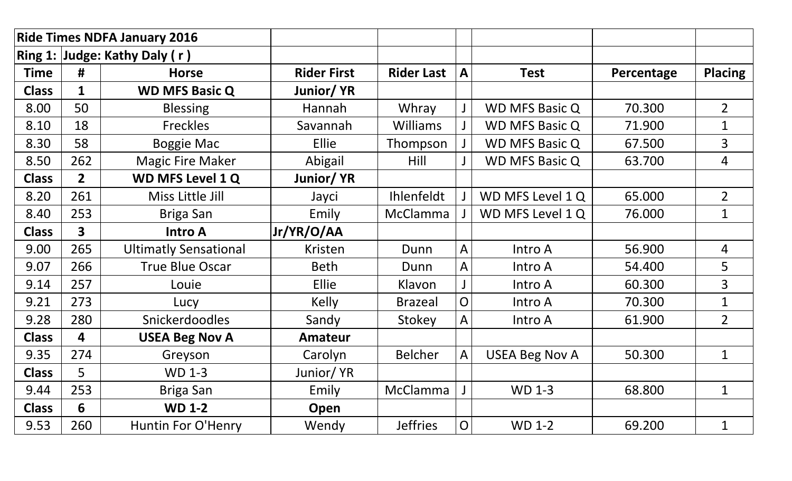| <b>Ride Times NDFA January 2016</b> |                         |                               |                    |                   |                             |                       |            |                |
|-------------------------------------|-------------------------|-------------------------------|--------------------|-------------------|-----------------------------|-----------------------|------------|----------------|
|                                     |                         | Ring 1: Judge: Kathy Daly (r) |                    |                   |                             |                       |            |                |
| <b>Time</b>                         | #                       | <b>Horse</b>                  | <b>Rider First</b> | <b>Rider Last</b> | <b>Test</b><br>$\mathbf{A}$ |                       | Percentage | <b>Placing</b> |
| <b>Class</b>                        | $\mathbf{1}$            | <b>WD MFS Basic Q</b>         | Junior/YR          |                   |                             |                       |            |                |
| 8.00                                | 50                      | <b>Blessing</b>               | Hannah             | Whray             | $\mathsf{J}$                | <b>WD MFS Basic Q</b> | 70.300     | $\overline{2}$ |
| 8.10                                | 18                      | <b>Freckles</b>               | Savannah           | <b>Williams</b>   |                             | <b>WD MFS Basic Q</b> | 71.900     | $\mathbf{1}$   |
| 8.30                                | 58                      | <b>Boggie Mac</b>             | <b>Ellie</b>       | Thompson          |                             | <b>WD MFS Basic Q</b> | 67.500     | $\overline{3}$ |
| 8.50                                | 262                     | <b>Magic Fire Maker</b>       | Abigail            | Hill              |                             | <b>WD MFS Basic Q</b> | 63.700     | $\overline{4}$ |
| <b>Class</b>                        | 2 <sup>1</sup>          | <b>WD MFS Level 1 Q</b>       | Junior/YR          |                   |                             |                       |            |                |
| 8.20                                | 261                     | Miss Little Jill              | Jayci              | Ihlenfeldt        |                             | WD MFS Level 1 Q      | 65.000     | $\overline{2}$ |
| 8.40                                | 253                     | Briga San                     | Emily              | <b>McClamma</b>   |                             | WD MFS Level 1 Q      | 76.000     | $\mathbf{1}$   |
| <b>Class</b>                        | $\mathbf{3}$            | <b>Intro A</b>                | Jr/YR/O/AA         |                   |                             |                       |            |                |
| 9.00                                | 265                     | <b>Ultimatly Sensational</b>  | <b>Kristen</b>     | Dunn              | A                           | Intro A               | 56.900     | 4              |
| 9.07                                | 266                     | <b>True Blue Oscar</b>        | <b>Beth</b>        | Dunn              | A                           | Intro A               | 54.400     | 5              |
| 9.14                                | 257                     | Louie                         | Ellie              | Klavon            |                             | Intro A               | 60.300     | $\overline{3}$ |
| 9.21                                | 273                     | Lucy                          | Kelly              | <b>Brazeal</b>    | $\overline{O}$              | Intro A               | 70.300     | $\mathbf{1}$   |
| 9.28                                | 280                     | Snickerdoodles                | Sandy              | Stokey            | A                           | Intro A               | 61.900     | $\overline{2}$ |
| <b>Class</b>                        | $\overline{\mathbf{4}}$ | <b>USEA Beg Nov A</b>         | <b>Amateur</b>     |                   |                             |                       |            |                |
| 9.35                                | 274                     | Greyson                       | Carolyn            | <b>Belcher</b>    | A                           | <b>USEA Beg Nov A</b> | 50.300     | $\mathbf{1}$   |
| <b>Class</b>                        | 5 <sup>1</sup>          | <b>WD 1-3</b>                 | Junior/YR          |                   |                             |                       |            |                |
| 9.44                                | 253                     | Briga San                     | Emily              | McClamma          | $\mathbf{J}$                | <b>WD 1-3</b>         | 68.800     | $\mathbf{1}$   |
| <b>Class</b>                        | 6                       | <b>WD 1-2</b>                 | Open               |                   |                             |                       |            |                |
| 9.53                                | 260                     | <b>Huntin For O'Henry</b>     | Wendy              | <b>Jeffries</b>   | $\mathsf{O}$                | <b>WD 1-2</b>         | 69.200     | $\mathbf{1}$   |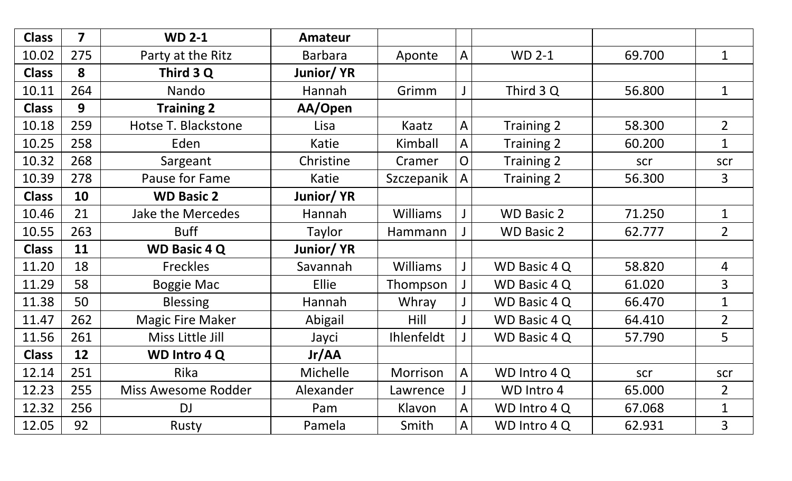| <b>Class</b> | 7   | <b>WD 2-1</b>              | <b>Amateur</b>   |                 |                |                     |        |                |
|--------------|-----|----------------------------|------------------|-----------------|----------------|---------------------|--------|----------------|
| 10.02        | 275 | Party at the Ritz          | <b>Barbara</b>   | Aponte          | $\mathsf{A}$   | <b>WD 2-1</b>       | 69.700 | $\mathbf 1$    |
| <b>Class</b> | 8   | Third 3 Q                  | Junior/YR        |                 |                |                     |        |                |
| 10.11        | 264 | Nando                      | Hannah           | Grimm           |                | Third 3 Q           | 56.800 | $\mathbf 1$    |
| <b>Class</b> | 9   | <b>Training 2</b>          | AA/Open          |                 |                |                     |        |                |
| 10.18        | 259 | Hotse T. Blackstone        | Lisa             | Kaatz           | $\mathsf{A}$   | Training 2          | 58.300 | $\overline{2}$ |
| 10.25        | 258 | Eden                       | Katie            | Kimball         | A              | Training 2          | 60.200 | $\mathbf{1}$   |
| 10.32        | 268 | Sargeant                   | Christine        | Cramer          | $\overline{O}$ | Training 2          | scr    | scr            |
| 10.39        | 278 | Pause for Fame             | Katie            | Szczepanik      | A              | <b>Training 2</b>   | 56.300 | 3              |
| <b>Class</b> | 10  | <b>WD Basic 2</b>          | <b>Junior/YR</b> |                 |                |                     |        |                |
| 10.46        | 21  | <b>Jake the Mercedes</b>   | Hannah           | <b>Williams</b> | $\mathbf{J}$   | <b>WD Basic 2</b>   | 71.250 | $\mathbf 1$    |
| 10.55        | 263 | <b>Buff</b>                | Taylor           | Hammann         |                | <b>WD Basic 2</b>   | 62.777 | $\overline{2}$ |
| <b>Class</b> | 11  | <b>WD Basic 4 Q</b>        | Junior/YR        |                 |                |                     |        |                |
| 11.20        | 18  | <b>Freckles</b>            | Savannah         | <b>Williams</b> |                | WD Basic 4 Q        | 58.820 | $\overline{4}$ |
| 11.29        | 58  | <b>Boggie Mac</b>          | Ellie            | Thompson        | $\mathsf{J}$   | <b>WD Basic 4 Q</b> | 61.020 | $\overline{3}$ |
| 11.38        | 50  | <b>Blessing</b>            | Hannah           | Whray           |                | WD Basic 4 Q        | 66.470 | $\mathbf 1$    |
| 11.47        | 262 | <b>Magic Fire Maker</b>    | Abigail          | Hill            | J              | WD Basic 4 Q        | 64.410 | $\overline{2}$ |
| 11.56        | 261 | Miss Little Jill           | Jayci            | Ihlenfeldt      |                | WD Basic 4 Q        | 57.790 | 5              |
| <b>Class</b> | 12  | <b>WD Intro 4 Q</b>        | Jr/AA            |                 |                |                     |        |                |
| 12.14        | 251 | Rika                       | Michelle         | Morrison        | A              | WD Intro 4 Q        | scr    | scr            |
| 12.23        | 255 | <b>Miss Awesome Rodder</b> | Alexander        | Lawrence        |                | WD Intro 4          | 65.000 | $\overline{2}$ |
| 12.32        | 256 | <b>DJ</b>                  | Pam              | Klavon          | A              | WD Intro 4 Q        | 67.068 | $\mathbf 1$    |
| 12.05        | 92  | Rusty                      | Pamela           | Smith           | A              | WD Intro 4 Q        | 62.931 | 3              |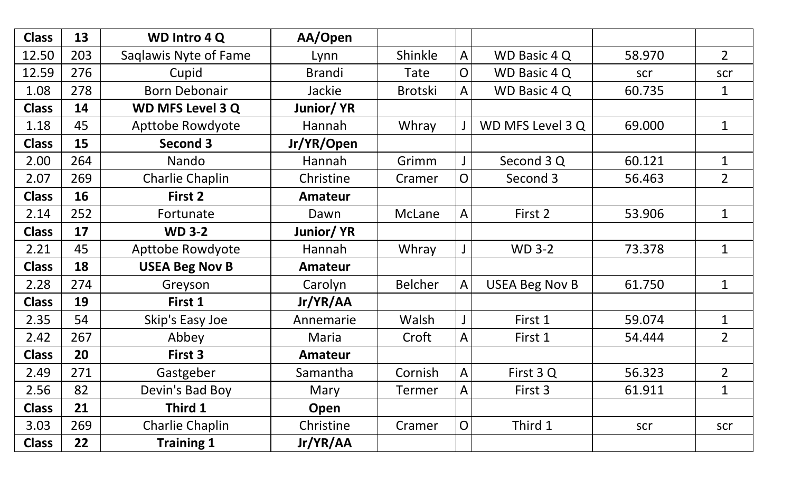| <b>Class</b> | 13  | <b>WD Intro 4 Q</b>     | AA/Open        |                |                |                       |        |                |
|--------------|-----|-------------------------|----------------|----------------|----------------|-----------------------|--------|----------------|
| 12.50        | 203 | Saqlawis Nyte of Fame   | Lynn           | Shinkle        | A              | WD Basic 4 Q          | 58.970 | $\overline{2}$ |
| 12.59        | 276 | Cupid                   | <b>Brandi</b>  | Tate           | O              | WD Basic 4 Q          | scr    | scr            |
| 1.08         | 278 | <b>Born Debonair</b>    | Jackie         | <b>Brotski</b> | A              | WD Basic 4 Q          | 60.735 | $\mathbf 1$    |
| <b>Class</b> | 14  | <b>WD MFS Level 3 Q</b> | Junior/YR      |                |                |                       |        |                |
| 1.18         | 45  | <b>Apttobe Rowdyote</b> | Hannah         | Whray          |                | WD MFS Level 3 Q      | 69.000 | $\mathbf 1$    |
| <b>Class</b> | 15  | <b>Second 3</b>         | Jr/YR/Open     |                |                |                       |        |                |
| 2.00         | 264 | Nando                   | Hannah         | Grimm          |                | Second 3 Q            | 60.121 | $\mathbf 1$    |
| 2.07         | 269 | <b>Charlie Chaplin</b>  | Christine      | Cramer         | O              | Second 3              | 56.463 | $2^{\circ}$    |
| <b>Class</b> | 16  | First 2                 | <b>Amateur</b> |                |                |                       |        |                |
| 2.14         | 252 | Fortunate               | Dawn           | McLane         | A              | First 2               | 53.906 | $\mathbf 1$    |
| <b>Class</b> | 17  | <b>WD 3-2</b>           | Junior/YR      |                |                |                       |        |                |
| 2.21         | 45  | <b>Apttobe Rowdyote</b> | Hannah         | Whray          |                | <b>WD 3-2</b>         | 73.378 | $\mathbf{1}$   |
| <b>Class</b> | 18  | <b>USEA Beg Nov B</b>   | <b>Amateur</b> |                |                |                       |        |                |
| 2.28         | 274 | Greyson                 | Carolyn        | <b>Belcher</b> | A              | <b>USEA Beg Nov B</b> | 61.750 | $\mathbf 1$    |
| <b>Class</b> | 19  | First 1                 | Jr/YR/AA       |                |                |                       |        |                |
| 2.35         | 54  | Skip's Easy Joe         | Annemarie      | Walsh          | J              | First 1               | 59.074 | $\mathbf 1$    |
| 2.42         | 267 | Abbey                   | Maria          | Croft          | A              | First 1               | 54.444 | $\overline{2}$ |
| <b>Class</b> | 20  | First 3                 | Amateur        |                |                |                       |        |                |
| 2.49         | 271 | Gastgeber               | Samantha       | Cornish        | A              | First 3 Q             | 56.323 | $\overline{2}$ |
| 2.56         | 82  | Devin's Bad Boy         | Mary           | <b>Termer</b>  | A              | First 3               | 61.911 | $\mathbf 1$    |
| <b>Class</b> | 21  | Third 1                 | Open           |                |                |                       |        |                |
| 3.03         | 269 | Charlie Chaplin         | Christine      | Cramer         | $\overline{O}$ | Third 1               | scr    | scr            |
| <b>Class</b> | 22  | <b>Training 1</b>       | Jr/YR/AA       |                |                |                       |        |                |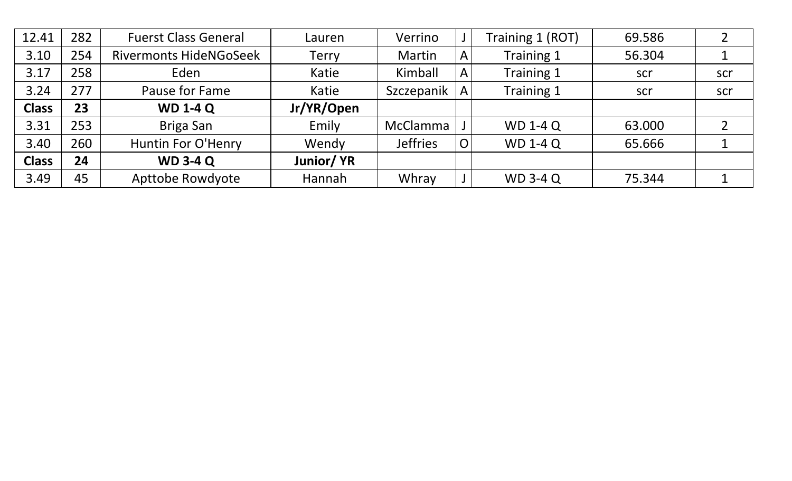| 12.41        | 282 | <b>Fuerst Class General</b>   | Lauren       | Verrino         |                | Training 1 (ROT) | 69.586 |     |
|--------------|-----|-------------------------------|--------------|-----------------|----------------|------------------|--------|-----|
| 3.10         | 254 | <b>Rivermonts HideNGoSeek</b> | <b>Terry</b> | Martin          | $\mathsf{A}$   | Training 1       | 56.304 | 1   |
| 3.17         | 258 | Eden                          | Katie        | Kimball         | $\mathsf{A}$   | Training 1       | scr    | scr |
| 3.24         | 277 | Pause for Fame                | Katie        | Szczepanik      | $\mathsf{A}$   | Training 1       | scr    | scr |
| <b>Class</b> | 23  | <b>WD 1-4 Q</b>               | Jr/YR/Open   |                 |                |                  |        |     |
| 3.31         | 253 | Briga San                     | Emily        | McClamma        |                | <b>WD 1-4 Q</b>  | 63.000 |     |
| 3.40         | 260 | <b>Huntin For O'Henry</b>     | Wendy        | <b>Jeffries</b> | $\overline{O}$ | <b>WD 1-4 Q</b>  | 65.666 |     |
| <b>Class</b> | 24  | <b>WD 3-4 Q</b>               | Junior/YR    |                 |                |                  |        |     |
| 3.49         | 45  | <b>Apttobe Rowdyote</b>       | Hannah       | Whray           |                | <b>WD 3-4 Q</b>  | 75.344 |     |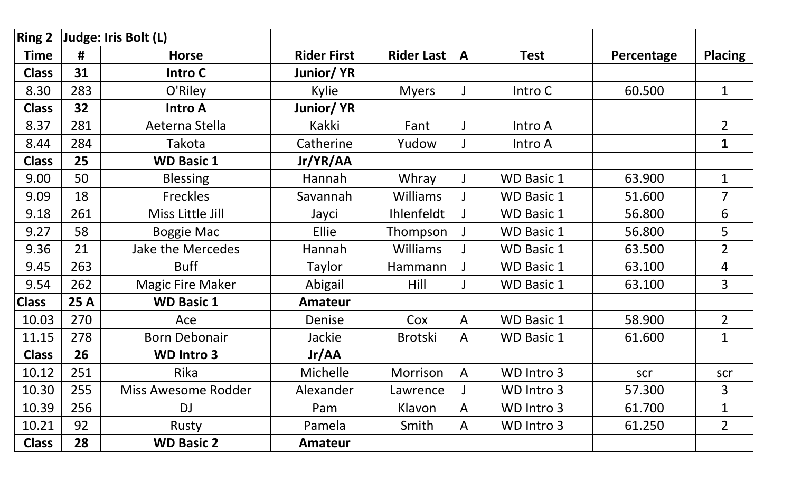| <b>Ring 2</b> |                 | Judge: Iris Bolt (L)     |                    |                   |   |                   |            |                |
|---------------|-----------------|--------------------------|--------------------|-------------------|---|-------------------|------------|----------------|
| <b>Time</b>   | #               | <b>Horse</b>             | <b>Rider First</b> | <b>Rider Last</b> | A | <b>Test</b>       | Percentage | <b>Placing</b> |
| <b>Class</b>  | 31              | Intro C                  | Junior/YR          |                   |   |                   |            |                |
| 8.30          | 283             | O'Riley                  | Kylie              | <b>Myers</b>      |   | Intro C           | 60.500     | $\mathbf{1}$   |
| <b>Class</b>  | 32 <sub>2</sub> | <b>Intro A</b>           | Junior/YR          |                   |   |                   |            |                |
| 8.37          | 281             | Aeterna Stella           | Kakki              | Fant              |   | Intro A           |            | $\overline{2}$ |
| 8.44          | 284             | Takota                   | Catherine          | Yudow             |   | Intro A           |            | $\mathbf{1}$   |
| <b>Class</b>  | 25              | <b>WD Basic 1</b>        | Jr/YR/AA           |                   |   |                   |            |                |
| 9.00          | 50              | <b>Blessing</b>          | Hannah             | Whray             | J | <b>WD Basic 1</b> | 63.900     | $\mathbf 1$    |
| 9.09          | 18              | <b>Freckles</b>          | Savannah           | <b>Williams</b>   |   | <b>WD Basic 1</b> | 51.600     | $\overline{7}$ |
| 9.18          | 261             | Miss Little Jill         | Jayci              | <b>Ihlenfeldt</b> |   | <b>WD Basic 1</b> | 56.800     | 6              |
| 9.27          | 58              | <b>Boggie Mac</b>        | Ellie              | Thompson          |   | <b>WD Basic 1</b> | 56.800     | 5              |
| 9.36          | 21              | <b>Jake the Mercedes</b> | Hannah             | <b>Williams</b>   |   | <b>WD Basic 1</b> | 63.500     | $\overline{2}$ |
| 9.45          | 263             | <b>Buff</b>              | Taylor             | Hammann           |   | <b>WD Basic 1</b> | 63.100     | $\overline{4}$ |
| 9.54          | 262             | <b>Magic Fire Maker</b>  | Abigail            | Hill              |   | <b>WD Basic 1</b> | 63.100     | $\overline{3}$ |
| <b>Class</b>  | 25 A            | <b>WD Basic 1</b>        | <b>Amateur</b>     |                   |   |                   |            |                |
| 10.03         | 270             | Ace                      | Denise             | Cox               | A | <b>WD Basic 1</b> | 58.900     | $\overline{2}$ |
| 11.15         | 278             | <b>Born Debonair</b>     | Jackie             | <b>Brotski</b>    | A | <b>WD Basic 1</b> | 61.600     | $\mathbf 1$    |
| <b>Class</b>  | 26              | <b>WD Intro 3</b>        | Jr/AA              |                   |   |                   |            |                |
| 10.12         | 251             | Rika                     | Michelle           | Morrison          | A | WD Intro 3        | scr        | scr            |
| 10.30         | 255             | Miss Awesome Rodder      | Alexander          | Lawrence          |   | WD Intro 3        | 57.300     | 3              |
| 10.39         | 256             | DJ                       | Pam                | Klavon            | A | WD Intro 3        | 61.700     | 1              |
| 10.21         | 92              | Rusty                    | Pamela             | Smith             | A | WD Intro 3        | 61.250     | $\overline{2}$ |
| <b>Class</b>  | 28              | <b>WD Basic 2</b>        | Amateur            |                   |   |                   |            |                |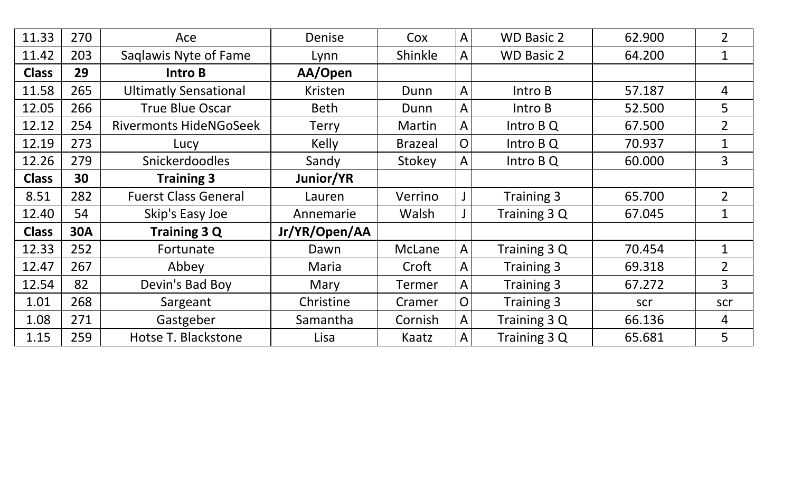| 11.33        | 270        | Ace                           | Denise        | Cox            | $\mathsf{A}$ | <b>WD Basic 2</b> | 62.900 | $\overline{2}$  |
|--------------|------------|-------------------------------|---------------|----------------|--------------|-------------------|--------|-----------------|
| 11.42        | 203        | Saglawis Nyte of Fame         | Lynn          | Shinkle        | A            | <b>WD Basic 2</b> | 64.200 | 1               |
| <b>Class</b> | 29         | <b>Intro B</b>                | AA/Open       |                |              |                   |        |                 |
| 11.58        | 265        | <b>Ultimatly Sensational</b>  | Kristen       | Dunn           | $\mathsf{A}$ | Intro B           | 57.187 | 4               |
| 12.05        | 266        | <b>True Blue Oscar</b>        | <b>Beth</b>   | Dunn           | A            | Intro B           | 52.500 | 5               |
| 12.12        | 254        | <b>Rivermonts HideNGoSeek</b> | <b>Terry</b>  | Martin         | A            | Intro B Q         | 67.500 | $2^{\circ}$     |
| 12.19        | 273        | Lucy                          | Kelly         | <b>Brazeal</b> | O            | Intro B Q         | 70.937 | $\mathbf{1}$    |
| 12.26        | 279        | <b>Snickerdoodles</b>         | Sandy         | Stokey         | A            | Intro B Q         | 60.000 | 3               |
| <b>Class</b> | 30         | <b>Training 3</b>             | Junior/YR     |                |              |                   |        |                 |
| 8.51         | 282        | <b>Fuerst Class General</b>   | Lauren        | Verrino        |              | Training 3        | 65.700 | $\overline{2}$  |
| 12.40        | 54         | Skip's Easy Joe               | Annemarie     | Walsh          | $\mathsf J$  | Training 3 Q      | 67.045 | $\mathbf{1}$    |
| <b>Class</b> | <b>30A</b> | <b>Training 3 Q</b>           | Jr/YR/Open/AA |                |              |                   |        |                 |
| 12.33        | 252        | Fortunate                     | Dawn          | <b>McLane</b>  | $\mathsf{A}$ | Training 3 Q      | 70.454 | 1               |
| 12.47        | 267        | Abbey                         | <b>Maria</b>  | Croft          | A            | Training 3        | 69.318 | 2 <sup>1</sup>  |
| 12.54        | 82         | Devin's Bad Boy               | Mary          | <b>Termer</b>  | $\mathsf{A}$ | Training 3        | 67.272 | $\overline{3}$  |
| 1.01         | 268        | Sargeant                      | Christine     | Cramer         | $\mathsf{O}$ | Training 3        | scr    | scr             |
| 1.08         | 271        | Gastgeber                     | Samantha      | Cornish        | $\mathsf{A}$ | Training 3 Q      | 66.136 | 4               |
| 1.15         | 259        | Hotse T. Blackstone           | Lisa          | Kaatz          | $\mathsf{A}$ | Training 3 Q      | 65.681 | $5\overline{)}$ |